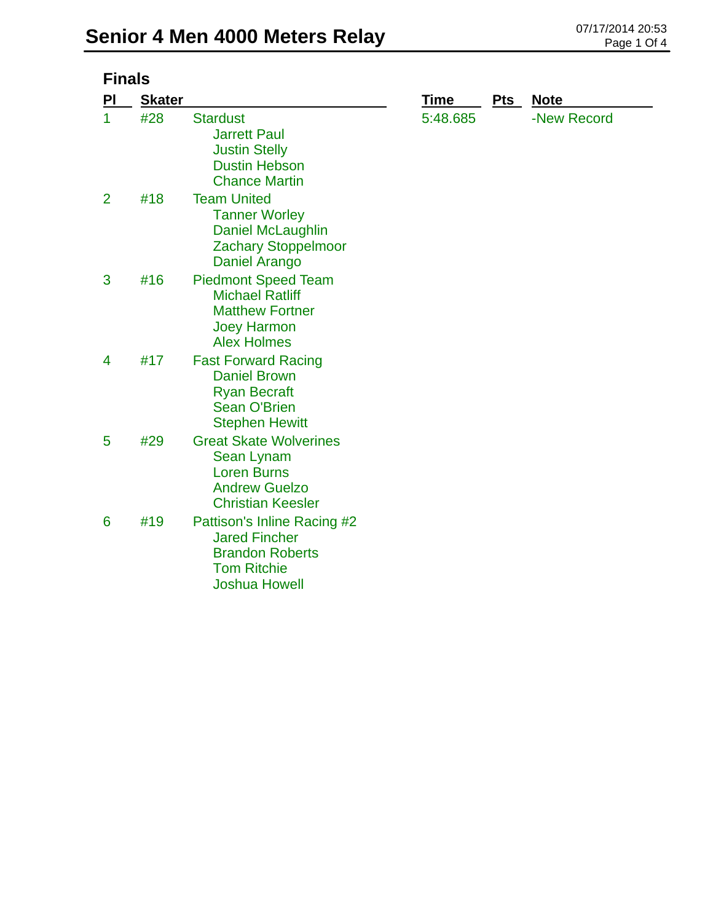| <b>Finals</b>  |               |                                                                                                                             |             |            |             |
|----------------|---------------|-----------------------------------------------------------------------------------------------------------------------------|-------------|------------|-------------|
| PI             | <b>Skater</b> |                                                                                                                             | <b>Time</b> | <b>Pts</b> | <b>Note</b> |
| 1              | #28           | <b>Stardust</b><br><b>Jarrett Paul</b><br><b>Justin Stelly</b><br><b>Dustin Hebson</b><br><b>Chance Martin</b>              | 5:48.685    |            | -New Record |
| $\overline{2}$ | #18           | <b>Team United</b><br><b>Tanner Worley</b><br>Daniel McLaughlin<br><b>Zachary Stoppelmoor</b><br>Daniel Arango              |             |            |             |
| 3              | #16           | <b>Piedmont Speed Team</b><br><b>Michael Ratliff</b><br><b>Matthew Fortner</b><br><b>Joey Harmon</b><br><b>Alex Holmes</b>  |             |            |             |
| 4              | #17           | <b>Fast Forward Racing</b><br><b>Daniel Brown</b><br><b>Ryan Becraft</b><br><b>Sean O'Brien</b><br><b>Stephen Hewitt</b>    |             |            |             |
| 5              | #29           | <b>Great Skate Wolverines</b><br>Sean Lynam<br><b>Loren Burns</b><br><b>Andrew Guelzo</b><br><b>Christian Keesler</b>       |             |            |             |
| 6              | #19           | Pattison's Inline Racing #2<br><b>Jared Fincher</b><br><b>Brandon Roberts</b><br><b>Tom Ritchie</b><br><b>Joshua Howell</b> |             |            |             |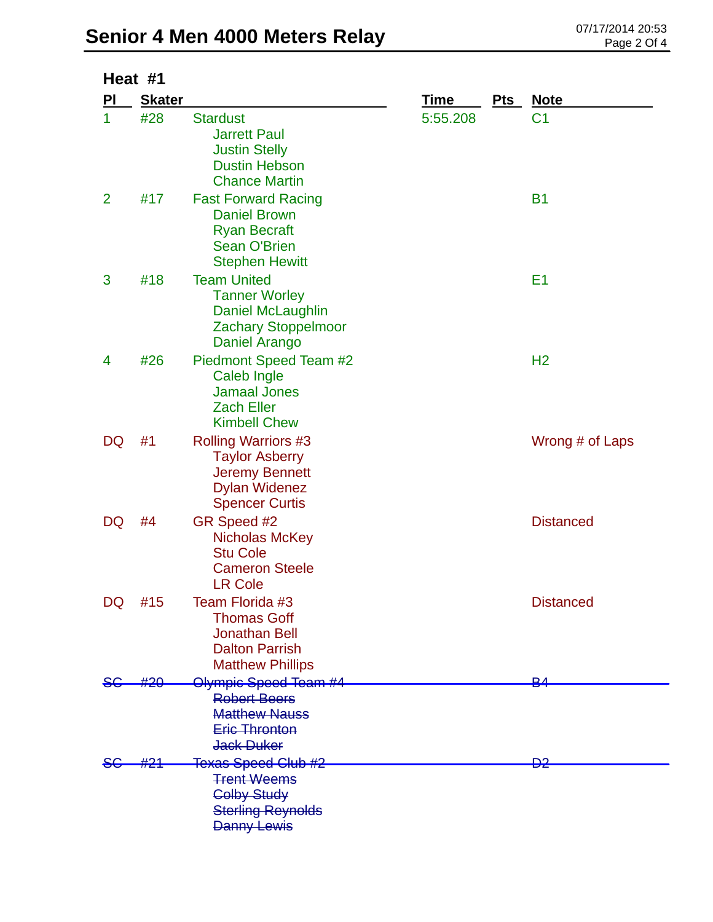|                | Heat #1       |                                                                                                                               |             |     |                  |  |
|----------------|---------------|-------------------------------------------------------------------------------------------------------------------------------|-------------|-----|------------------|--|
| PI             | <b>Skater</b> |                                                                                                                               | <b>Time</b> | Pts | <b>Note</b>      |  |
| 1              | #28           | <b>Stardust</b><br><b>Jarrett Paul</b><br><b>Justin Stelly</b><br><b>Dustin Hebson</b><br><b>Chance Martin</b>                | 5:55.208    |     | C <sub>1</sub>   |  |
| $\overline{2}$ | #17           | <b>Fast Forward Racing</b><br><b>Daniel Brown</b><br><b>Ryan Becraft</b><br><b>Sean O'Brien</b><br><b>Stephen Hewitt</b>      |             |     | <b>B1</b>        |  |
| 3              | #18           | <b>Team United</b><br><b>Tanner Worley</b><br>Daniel McLaughlin<br><b>Zachary Stoppelmoor</b><br>Daniel Arango                |             |     | E <sub>1</sub>   |  |
| 4              | #26           | Piedmont Speed Team #2<br>Caleb Ingle<br><b>Jamaal Jones</b><br><b>Zach Eller</b><br><b>Kimbell Chew</b>                      |             |     | H <sub>2</sub>   |  |
| DQ             | #1            | <b>Rolling Warriors #3</b><br><b>Taylor Asberry</b><br><b>Jeremy Bennett</b><br><b>Dylan Widenez</b><br><b>Spencer Curtis</b> |             |     | Wrong # of Laps  |  |
| DQ             | #4            | GR Speed #2<br>Nicholas McKey<br><b>Stu Cole</b><br><b>Cameron Steele</b><br><b>LR Cole</b>                                   |             |     | <b>Distanced</b> |  |
| DQ             | #15           | Team Florida #3<br><b>Thomas Goff</b><br>Jonathan Bell<br><b>Dalton Parrish</b><br><b>Matthew Phillips</b>                    |             |     | <b>Distanced</b> |  |
|                | #20           | Olympic Speed Team #4                                                                                                         |             |     | D. A             |  |
|                |               | <b>Robert Beers</b><br><b>Matthew Nauss</b><br><b>Eric Thronton</b><br>Jack Duker                                             |             |     |                  |  |
|                | #21           | <b>Texas Speed Club #2</b>                                                                                                    |             |     | <del>D2</del>    |  |
|                |               | <b>Trent Weems</b><br><b>Colby Study</b><br><b>Sterling Reynolds</b><br><b>Danny Lewis</b>                                    |             |     |                  |  |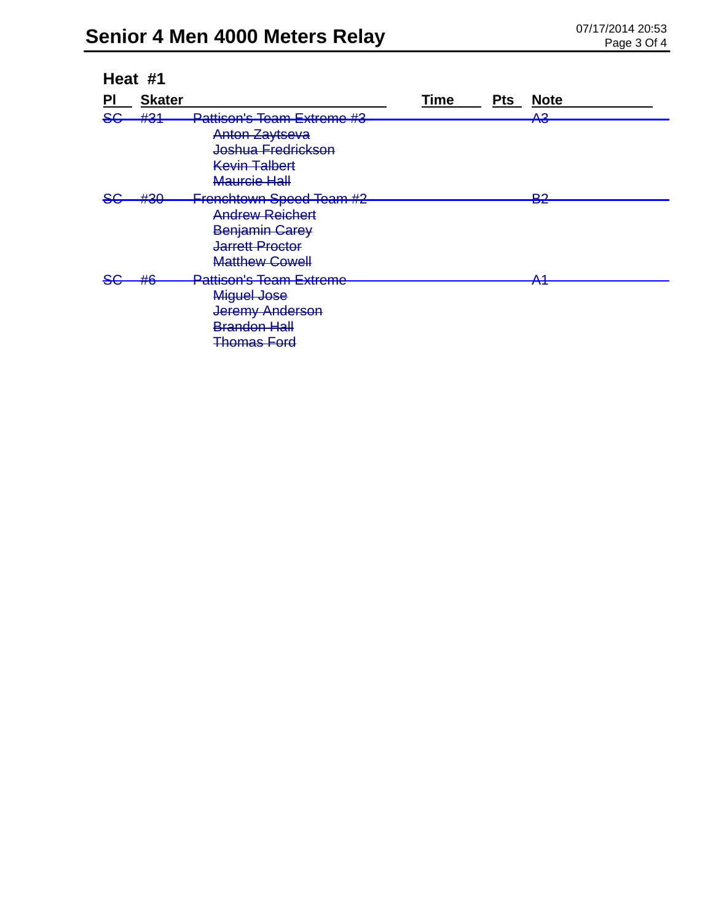| Heat #1 |                            |                                                                                                                                 |      |            |                                         |
|---------|----------------------------|---------------------------------------------------------------------------------------------------------------------------------|------|------------|-----------------------------------------|
| PI      | <b>Skater</b>              |                                                                                                                                 | Time | <b>Pts</b> | <b>Note</b>                             |
| 86      | H <sub>2</sub> 1<br>17 J 1 | <b>Pattison's Team Extreme #3</b><br><b>Anton Zaytseva</b><br>Joshua Fredrickson<br><b>Kevin Talbert</b><br>Maurcie Hall        |      |            | ΛQ<br>᠇᠊ᠳ                               |
|         | #2∩<br>$\pi$ vv            | <b>Frenchtown Speed Team #2</b><br><b>Andrew Reichert</b><br>Benjamin Carey<br><b>Jarrett Proctor</b><br><b>Matthew Cowell</b>  |      |            | ∩ים<br>Бъ                               |
|         | H G<br>T J                 | <b>Pattison's Team Extreme</b><br><b>Miguel Jose</b><br><b>Jeremy Anderson</b><br><b>Brandon Hall</b><br><del>Thomas Ford</del> |      |            | $\Lambda$ 1<br>$\overline{\phantom{a}}$ |